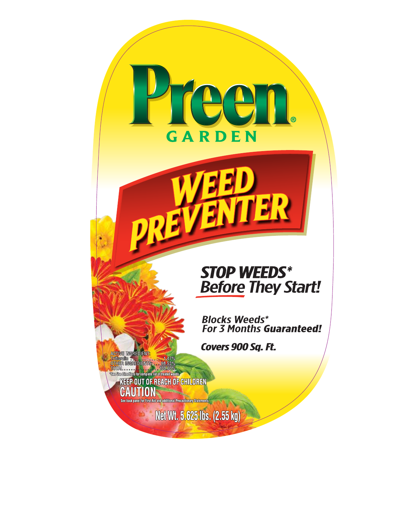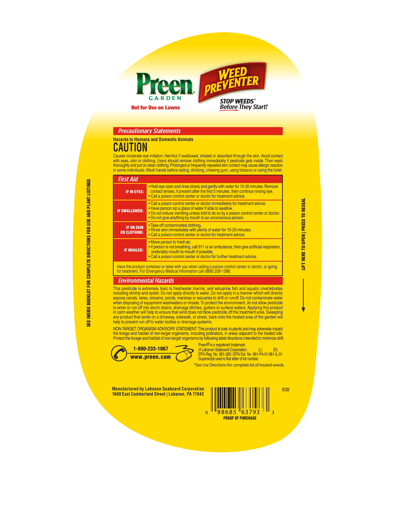

### Precautionary Statements

#### **Hazards to Humans and Domestic Animals**

# **CAUTION**

Causes moderate eye irritation. Harmful if swallowed, inhaled or absorbed through the skin. Avoid contact with eyes, skin or clothing. Users should remove clothing immediately if pesticide gets inside. Then wash<br>thoroughly and put on clean clothing. Prolonged or frequently repeated skin contact may cause allergic reaction<br>in s

#### First Aid

| . Hold eye open and rinse slowly and gently with water for 15-20 minutes. Remove<br>contact lenses, if present after the first 5 minutes, then continue rinsing eye.<br>IF IN EYES:<br>. Call a poison control center or doctor for treatment advice.<br>• Call a poison control center or doctor immediately for treatment advice.<br>. Have person sip a glass of water if able to swallow.<br>. Do not induce vomiting unless told to do so by a poison control center or doctor.<br>. Do not give anything by mouth to an unconscious person. |
|---------------------------------------------------------------------------------------------------------------------------------------------------------------------------------------------------------------------------------------------------------------------------------------------------------------------------------------------------------------------------------------------------------------------------------------------------------------------------------------------------------------------------------------------------|
| <b>IF SWALLOWED:</b>                                                                                                                                                                                                                                                                                                                                                                                                                                                                                                                              |
|                                                                                                                                                                                                                                                                                                                                                                                                                                                                                                                                                   |
| • Take off contaminated clothing.<br><b>IF ON SKIN</b><br>. Rinse skin immediately with plenty of water for 15-20 minutes.<br><b>OR CLOTHING:</b><br>. Call a poison control center or doctor for treatment advice.                                                                                                                                                                                                                                                                                                                               |
| • Move person to fresh air.<br>• If person is not breathing, call 911 or an ambulance, then give artificial respiration,<br><b>IF INHALED:</b><br>preferably mouth-to-mouth if possible.<br>. Call a poison control center or doctor for further treatment advice.                                                                                                                                                                                                                                                                                |

Have the product container or label with you when calling a poison control center or doctor, or going for treatment. For Emergency Medical Information call (888) 208-1368.

#### Environmental Hazards

This pesticide is extremely toxic to freshwater marine, and estuarine fish and aquatic invertebrates including shrimp and oyster. Do not apply directly to water. Do not apply in a manner which will directly<br>expose canals, lakes, streams, ponds, marshes or estuaries to drift or runoff. Do not contaminate water<br>when disposi any product that lands on a driveway, sidewalk, or street, back onto the treated area of the garden will help to prevent run off to water bodies or drainage systems.

NON-TARGET ORGANISM ADVISORY STATEMENT: This product is toxic to plants and may adversely impact the forage and habitat of non-target organisms, including pollinators, in areas adjacent to the treated site. Protect the forage and habitat of non-target organisms by following label directions intended to minimize drift.



of Lebanon Seaboard Corporation. (L) (D)<br>EPA Reg. No. 961-280 | EPA Est. No. 961-PA-01:961-IL-01<br>Superscript used is first letter of lot number.

Preen ® is a registered trademark

\*See Use Directions for complete list of treated weeds.

**Manufactured by Lebanon Seaboard Corporation 1600 East Cumberland Street | Lebanon, PA 17042**



E/22

LIFT HERE TO OPEN | PRESS TO RESEAL

LIFT HERE TO OPEN | PRESS TO RESEAL

**INSIDE BOOKLET FOR COMPLETE DIRECTIONS FOR USE AND PLANT LISTINGS** SEE INSIDE BOOKLET FOR COMPLETE DIRECTIONS FOR USE AND PLANT LISTINGS **SEE**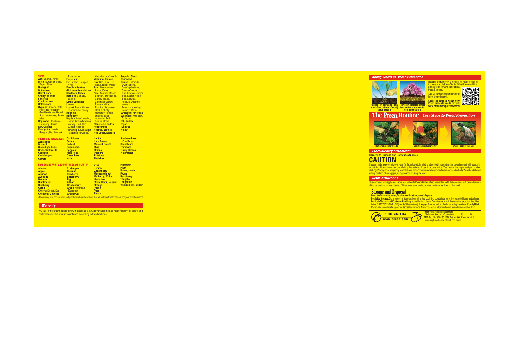www.preen.com

1-800-233-1067<br> **EXECUTE:** Preen<sup>t®</sup> is a registered trademark<br> **THE REG. No. 961-280 | EPA Est. No. 961-PA-01:961-IL-01**<br>
Superscript used is first letter of lot number.

**Hazards to Humans and Domestic Animals Precautionary Statements** 

# **CAUTION**

Causes moderate eye irritation. Harmful if swallowed, inhaled or absorbed through the skin. Avoid contact with eyes, skin<br>or clothing. Users should remove clothing immediately if pesticide gets inside. Then wash thoroughly

## **Refill Instructions**

This container with applicator cap is reusable with Preen Garden Weed Preventer. Refill the container with desired amount<br>of this product and use as directed. When done, store or dispose this container as listed on the lab



Scan the code to watch how<br>Pulling or spraying only Preventing creates a weed<br>eliminates weeds already barrier that stops weeds www.preen.com/preventweeds<br>above ground. for the magnetiating.



**The Preen Routine** Easy Steps to Weed Prevention



### **Storage and Disposal**

Do not contaminate water, food or feed by storage and disposal.<br>Pesticide Storage: Store product in its original container in a cool, dry, locked place out of the reach of children and animals.<br>Pesticide Disposal and Conta





**Remove Existing Weeds Sprinkle Product Evenly Water Product Into Soil**



NOTE: To the extent consistent with applicable law, Buyer assumes all responsibility for safety and performance if this product is not used according to the directions.

### **Killing Weeds vs. Weed Prevention**





Reapply product every 3 months. It's never too late or<br>too early to apply Preen Garden Weed Preventer! Use<br>around listed flowers, vegetables,<br>trees & shrubs.

| <b>TREES</b><br><b>Ash: Shamel, White</b><br><b>Birch: European white,</b><br><b>Paper, River</b><br><b>Blackgum</b><br><b>Bottle tree</b><br><b>Carrot wood</b><br><b>Cherry, Yoshino</b><br>flowering<br><b>Coolibah tree</b><br><b>Cottonwood</b><br>Cypress: Arizona, Bald,<br>Filicoides-fernspray,<br>Gracilis-slender Hinoki.<br>Squarrosa-moss, Swara<br>false<br>Dogwood: Cloud nine,<br><b>Flowering, Kousa</b><br><b>Elm, Chinese</b><br><b>Eucalyptus: Mealy.</b><br>Redgum, Red ironbark, | Silver dollar<br><b>Ficus, Mini</b><br>Fir: Balsam, Douglas,<br><b>White</b><br><b>Florida anise tree</b><br>Ginko-maidenhair tree<br><b>Hawthorn, Green</b><br>Hemlock: Canada.<br>Eastern<br>Larch, Japanese<br>Linden<br>Locust: Black, Honey,<br><b>Shademaster honey</b><br><b>Magnolia</b><br><b>Mahogany</b><br><b>Maple: Albus-flowering,</b><br>Flame, Luteus-flowering,<br>Norway, Red, Red<br><b>Sunset, Roseus-</b><br>flowering, Silver, Sugar,<br>Tangerine-flowering, | <b>Vesuvius red-flowering</b><br><b>Mesquite, Chilean</b><br>Oak: Bear, Live, Pin,<br>Red, Scarlet, Willow<br><b>Palm:</b> Mexican fan.<br><b>Parlor, Queen</b><br><b>Pine: Austrian, Beach,</b><br>Bosnian, Bristlecone,<br><b>Canary Island,</b><br>Columnar Scotch,<br>Eastern white,<br>Eldarica, Japanese<br>black, Loblolly,<br>Monterey, Pumilio-<br>shrubby swiss<br>mountain, Red,<br>Scotch, Shore<br><b>Planetree, London</b><br><b>Podocarpus</b><br><b>Redbud, Eastern</b><br><b>Red Cedar, Eastern</b> | Sequoia, Giant<br><b>Sourwood</b><br>Spruce: Colorado,<br>Dwarf alberta,<br>Dwarf globe blue,<br>Glauca-Colorado<br>blue, Hoopsii-Hoop's<br>blue, Koster-Koster<br>blue, Norway,<br>Pendula-weeping<br>Norway,<br>Repens-spreading<br>Norway, White<br><b>Sweetgum, American</b><br><b>Sycamore: American,</b><br>California<br><b>Tab. Yellow</b><br><b>Toyon</b><br><b>Tuliptree</b><br><b>Willow</b> |
|--------------------------------------------------------------------------------------------------------------------------------------------------------------------------------------------------------------------------------------------------------------------------------------------------------------------------------------------------------------------------------------------------------------------------------------------------------------------------------------------------------|--------------------------------------------------------------------------------------------------------------------------------------------------------------------------------------------------------------------------------------------------------------------------------------------------------------------------------------------------------------------------------------------------------------------------------------------------------------------------------------|----------------------------------------------------------------------------------------------------------------------------------------------------------------------------------------------------------------------------------------------------------------------------------------------------------------------------------------------------------------------------------------------------------------------------------------------------------------------------------------------------------------------|---------------------------------------------------------------------------------------------------------------------------------------------------------------------------------------------------------------------------------------------------------------------------------------------------------------------------------------------------------------------------------------------------------|
| <b>FRUITS AND VEGETABLES</b>                                                                                                                                                                                                                                                                                                                                                                                                                                                                           | <b>Cauliflower</b>                                                                                                                                                                                                                                                                                                                                                                                                                                                                   | <b>Lentils</b>                                                                                                                                                                                                                                                                                                                                                                                                                                                                                                       | <b>Southern Peas</b>                                                                                                                                                                                                                                                                                                                                                                                    |
| <b>Asparagus</b><br><b>Broccoli</b>                                                                                                                                                                                                                                                                                                                                                                                                                                                                    | <b>Celery</b><br><b>Collard</b>                                                                                                                                                                                                                                                                                                                                                                                                                                                      | <b>Lima Beans</b><br><b>Mustard Greens</b>                                                                                                                                                                                                                                                                                                                                                                                                                                                                           | (Cow Peas)<br><b>Snap Beans</b>                                                                                                                                                                                                                                                                                                                                                                         |
| <b>Black-Eyed Peas</b><br><b>Brussels Sprouts</b>                                                                                                                                                                                                                                                                                                                                                                                                                                                      | <b>Cucumbers</b><br><b>Eggplant</b>                                                                                                                                                                                                                                                                                                                                                                                                                                                  | Okra<br><b>Onions</b>                                                                                                                                                                                                                                                                                                                                                                                                                                                                                                | <b>Tomatoes</b><br><b>Turnip Greens</b>                                                                                                                                                                                                                                                                                                                                                                 |
| <b>Cabbage</b><br><b>Cantaloupes</b>                                                                                                                                                                                                                                                                                                                                                                                                                                                                   | <b>Field Peas</b><br><b>Green Peas</b>                                                                                                                                                                                                                                                                                                                                                                                                                                               | <b>Peppers</b><br><b>Potatoes</b>                                                                                                                                                                                                                                                                                                                                                                                                                                                                                    | <b>Watermelon</b>                                                                                                                                                                                                                                                                                                                                                                                       |
| <b>Carrots</b>                                                                                                                                                                                                                                                                                                                                                                                                                                                                                         | <b>Kale</b>                                                                                                                                                                                                                                                                                                                                                                                                                                                                          | <b>Radishes</b>                                                                                                                                                                                                                                                                                                                                                                                                                                                                                                      |                                                                                                                                                                                                                                                                                                                                                                                                         |
| <b>NONBEARING FRUIT AND NUT TREES AND PLANTS+</b>                                                                                                                                                                                                                                                                                                                                                                                                                                                      |                                                                                                                                                                                                                                                                                                                                                                                                                                                                                      | <b>Kiwi</b>                                                                                                                                                                                                                                                                                                                                                                                                                                                                                                          | <b>Pistachio</b>                                                                                                                                                                                                                                                                                                                                                                                        |
| <b>Almond</b>                                                                                                                                                                                                                                                                                                                                                                                                                                                                                          | <b>Crabapple</b>                                                                                                                                                                                                                                                                                                                                                                                                                                                                     | Lemon                                                                                                                                                                                                                                                                                                                                                                                                                                                                                                                | <b>Plum</b>                                                                                                                                                                                                                                                                                                                                                                                             |
| <b>Apple</b>                                                                                                                                                                                                                                                                                                                                                                                                                                                                                           | <b>Currant</b>                                                                                                                                                                                                                                                                                                                                                                                                                                                                       | Loganberry                                                                                                                                                                                                                                                                                                                                                                                                                                                                                                           | <b>Pomegranate</b>                                                                                                                                                                                                                                                                                                                                                                                      |
| <b>Apricot</b><br><b>Avocado</b>                                                                                                                                                                                                                                                                                                                                                                                                                                                                       | <b>Dewberry</b>                                                                                                                                                                                                                                                                                                                                                                                                                                                                      | Macadamia nut<br><b>Mulberry, White</b>                                                                                                                                                                                                                                                                                                                                                                                                                                                                              | <b>Prune</b><br>Raspberry                                                                                                                                                                                                                                                                                                                                                                               |
| <b>Banana</b>                                                                                                                                                                                                                                                                                                                                                                                                                                                                                          | <b>Elderberry</b><br><b>Fig</b>                                                                                                                                                                                                                                                                                                                                                                                                                                                      | <b>Nectarine</b>                                                                                                                                                                                                                                                                                                                                                                                                                                                                                                     | <b>Tangelo</b>                                                                                                                                                                                                                                                                                                                                                                                          |
| <b>Blackberry</b>                                                                                                                                                                                                                                                                                                                                                                                                                                                                                      | <b>Filbert</b>                                                                                                                                                                                                                                                                                                                                                                                                                                                                       | <b>Olive: Black, Russian</b>                                                                                                                                                                                                                                                                                                                                                                                                                                                                                         | <b>Tangerine</b>                                                                                                                                                                                                                                                                                                                                                                                        |
| <b>Blueberry</b>                                                                                                                                                                                                                                                                                                                                                                                                                                                                                       | <b>Gooseberry</b>                                                                                                                                                                                                                                                                                                                                                                                                                                                                    | Orange                                                                                                                                                                                                                                                                                                                                                                                                                                                                                                               | <b>Walnut: Black, English</b>                                                                                                                                                                                                                                                                                                                                                                           |
| Carob                                                                                                                                                                                                                                                                                                                                                                                                                                                                                                  | <b>Grape: American,</b>                                                                                                                                                                                                                                                                                                                                                                                                                                                              | Peach                                                                                                                                                                                                                                                                                                                                                                                                                                                                                                                |                                                                                                                                                                                                                                                                                                                                                                                                         |
| <b>Cherry: Sweet, Sour</b><br><b>Chestnut, Chinese</b>                                                                                                                                                                                                                                                                                                                                                                                                                                                 | European<br>Grapefruit                                                                                                                                                                                                                                                                                                                                                                                                                                                               | Pear<br><b>Pecan</b>                                                                                                                                                                                                                                                                                                                                                                                                                                                                                                 |                                                                                                                                                                                                                                                                                                                                                                                                         |

#### **Warranty**